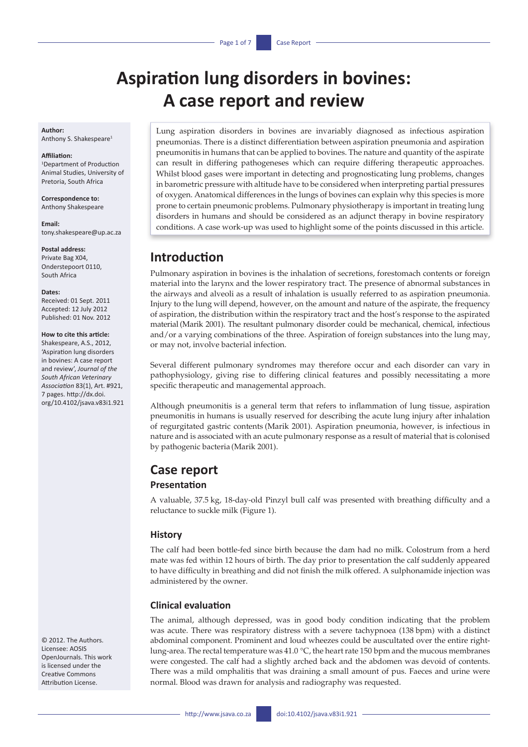# **Aspiration lung disorders in bovines: A case report and review**

**Author:** Anthony S. Shakespeare<sup>1</sup>

#### **Affiliation:**

1 Department of Production Animal Studies, University of Pretoria, South Africa

**Correspondence to:** Anthony Shakespeare

**Email:** [tony.shakespeare@up.ac.za](mailto:tony.shakespeare@up.ac.za)

**Postal address:** Private Bag X04, Onderstepoort 0110, South Africa

#### **Dates:**

Received: 01 Sept. 2011 Accepted: 12 July 2012 Published: 01 Nov. 2012

#### **How to cite this article:**

Shakespeare, A.S., 2012, 'Aspiration lung disorders in bovines: A case report and review', *Journal of the South African Veterinary Association* 83(1), Art. #921, 7 pages. [http://dx.doi.](http://dx.doi.org/10.4102/jsava.v83i1.921) [org/10.4102/jsava.v83i1.921](http://dx.doi.org/10.4102/jsava.v83i1.921)

© 2012. The Authors. Licensee: AOSIS OpenJournals. This work is licensed under the Creative Commons Attribution License.

Lung aspiration disorders in bovines are invariably diagnosed as infectious aspiration pneumonias. There is a distinct differentiation between aspiration pneumonia and aspiration pneumonitis in humans that can be applied to bovines. The nature and quantity of the aspirate can result in differing pathogeneses which can require differing therapeutic approaches. Whilst blood gases were important in detecting and prognosticating lung problems, changes in barometric pressure with altitude have to be considered when interpreting partial pressures of oxygen. Anatomical differences in the lungs of bovines can explain why this species is more prone to certain pneumonic problems. Pulmonary physiotherapy is important in treating lung disorders in humans and should be considered as an adjunct therapy in bovine respiratory conditions. A case work-up was used to highlight some of the points discussed in this article.

# **Introduction**

Pulmonary aspiration in bovines is the inhalation of secretions, forestomach contents or foreign material into the larynx and the lower respiratory tract. The presence of abnormal substances in the airways and alveoli as a result of inhalation is usually referred to as aspiration pneumonia. Injury to the lung will depend, however, on the amount and nature of the aspirate, the frequency of aspiration, the distribution within the respiratory tract and the host's response to the aspirated material (Marik 2001). The resultant pulmonary disorder could be mechanical, chemical, infectious and/or a varying combinations of the three. Aspiration of foreign substances into the lung may, or may not, involve bacterial infection.

Several different pulmonary syndromes may therefore occur and each disorder can vary in pathophysiology, giving rise to differing clinical features and possibly necessitating a more specific therapeutic and managemental approach.

Although pneumonitis is a general term that refers to inflammation of lung tissue, aspiration pneumonitis in humans is usually reserved for describing the acute lung injury after inhalation of regurgitated gastric contents (Marik 2001). Aspiration pneumonia, however, is infectious in nature and is associated with an acute pulmonary response as a result of material that is colonised by pathogenic bacteria (Marik 2001).

### **Case report**

### **Presentation**

A valuable, 37.5 kg, 18-day-old Pinzyl bull calf was presented with breathing difficulty and a reluctance to suckle milk (Figure 1).

#### **History**

The calf had been bottle-fed since birth because the dam had no milk. Colostrum from a herd mate was fed within 12 hours of birth. The day prior to presentation the calf suddenly appeared to have difficulty in breathing and did not finish the milk offered. A sulphonamide injection was administered by the owner.

### **Clinical evaluation**

The animal, although depressed, was in good body condition indicating that the problem was acute. There was respiratory distress with a severe tachypnoea (138 bpm) with a distinct abdominal component. Prominent and loud wheezes could be auscultated over the entire rightlung-area. The rectal temperature was 41.0 °C, the heart rate 150 bpm and the mucous membranes were congested. The calf had a slightly arched back and the abdomen was devoid of contents. There was a mild omphalitis that was draining a small amount of pus. Faeces and urine were normal. Blood was drawn for analysis and radiography was requested.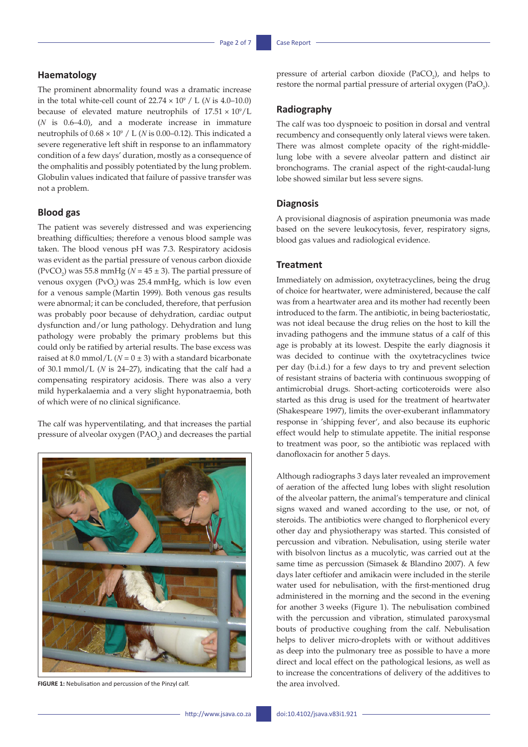### **Haematology**

The prominent abnormality found was a dramatic increase in the total white-cell count of  $22.74 \times 10^9$  / L (*N* is 4.0–10.0) because of elevated mature neutrophils of  $17.51 \times 10^9 / L$ (*N* is 0.6–4.0), and a moderate increase in immature neutrophils of  $0.68 \times 10^9$  / L (*N* is 0.00–0.12). This indicated a severe regenerative left shift in response to an inflammatory condition of a few days' duration, mostly as a consequence of the omphalitis and possibly potentiated by the lung problem. Globulin values indicated that failure of passive transfer was not a problem.

### **Blood gas**

The patient was severely distressed and was experiencing breathing difficulties; therefore a venous blood sample was taken. The blood venous pH was 7.3. Respiratory acidosis was evident as the partial pressure of venous carbon dioxide  $(\text{PvCO}_2)$  was 55.8 mmHg ( $N = 45 \pm 3$ ). The partial pressure of venous oxygen  $(\text{PvO}_2)$  was 25.4 mmHg, which is low even for a venous sample (Martin 1999). Both venous gas results were abnormal; it can be concluded, therefore, that perfusion was probably poor because of dehydration, cardiac output dysfunction and/or lung pathology. Dehydration and lung pathology were probably the primary problems but this could only be ratified by arterial results. The base excess was raised at 8.0 mmol/L  $(N = 0 \pm 3)$  with a standard bicarbonate of 30.1 mmol/L (*N* is 24–27), indicating that the calf had a compensating respiratory acidosis. There was also a very mild hyperkalaemia and a very slight hyponatraemia, both of which were of no clinical significance.

The calf was hyperventilating, and that increases the partial pressure of alveolar oxygen (PAO $_2$ ) and decreases the partial



**FIGURE 1:** Nebulisation and percussion of the Pinzyl calf.

pressure of arterial carbon dioxide  $(PaCO<sub>2</sub>)$ , and helps to restore the normal partial pressure of arterial oxygen  $(PaO<sub>2</sub>)$ .

#### **Radiography**

The calf was too dyspnoeic to position in dorsal and ventral recumbency and consequently only lateral views were taken. There was almost complete opacity of the right-middlelung lobe with a severe alveolar pattern and distinct air bronchograms. The cranial aspect of the right-caudal-lung lobe showed similar but less severe signs.

#### **Diagnosis**

A provisional diagnosis of aspiration pneumonia was made based on the severe leukocytosis, fever, respiratory signs, blood gas values and radiological evidence.

#### **Treatment**

Immediately on admission, oxytetracyclines, being the drug of choice for heartwater, were administered, because the calf was from a heartwater area and its mother had recently been introduced to the farm. The antibiotic, in being bacteriostatic, was not ideal because the drug relies on the host to kill the invading pathogens and the immune status of a calf of this age is probably at its lowest. Despite the early diagnosis it was decided to continue with the oxytetracyclines twice per day (b.i.d.) for a few days to try and prevent selection of resistant strains of bacteria with continuous swopping of antimicrobial drugs. Short-acting corticoteroids were also started as this drug is used for the treatment of heartwater (Shakespeare 1997), limits the over-exuberant inflammatory response in 'shipping fever', and also because its euphoric effect would help to stimulate appetite. The initial response to treatment was poor, so the antibiotic was replaced with danofloxacin for another 5 days.

Although radiographs 3 days later revealed an improvement of aeration of the affected lung lobes with slight resolution of the alveolar pattern, the animal's temperature and clinical signs waxed and waned according to the use, or not, of steroids. The antibiotics were changed to florphenicol every other day and physiotherapy was started. This consisted of percussion and vibration. Nebulisation, using sterile water with bisolvon linctus as a mucolytic, was carried out at the same time as percussion (Simasek & Blandino 2007). A few days later ceftiofer and amikacin were included in the sterile water used for nebulisation, with the first-mentioned drug administered in the morning and the second in the evening for another 3 weeks (Figure 1). The nebulisation combined with the percussion and vibration, stimulated paroxysmal bouts of productive coughing from the calf. Nebulisation helps to deliver micro-droplets with or without additives as deep into the pulmonary tree as possible to have a more direct and local effect on the pathological lesions, as well as to increase the concentrations of delivery of the additives to the area involved.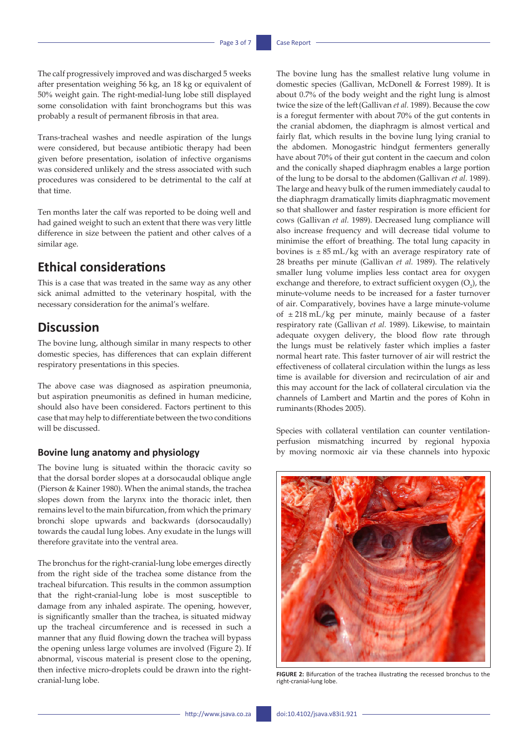The calf progressively improved and was discharged 5 weeks after presentation weighing 56 kg, an 18 kg or equivalent of 50% weight gain. The right-medial-lung lobe still displayed some consolidation with faint bronchograms but this was probably a result of permanent fibrosis in that area.

Trans-tracheal washes and needle aspiration of the lungs were considered, but because antibiotic therapy had been given before presentation, isolation of infective organisms was considered unlikely and the stress associated with such procedures was considered to be detrimental to the calf at that time.

Ten months later the calf was reported to be doing well and had gained weight to such an extent that there was very little difference in size between the patient and other calves of a similar age.

# **Ethical considerations**

This is a case that was treated in the same way as any other sick animal admitted to the veterinary hospital, with the necessary consideration for the animal's welfare.

# **Discussion**

The bovine lung, although similar in many respects to other domestic species, has differences that can explain different respiratory presentations in this species.

The above case was diagnosed as aspiration pneumonia, but aspiration pneumonitis as defined in human medicine, should also have been considered. Factors pertinent to this case that may help to differentiate between the two conditions will be discussed.

### **Bovine lung anatomy and physiology**

The bovine lung is situated within the thoracic cavity so that the dorsal border slopes at a dorsocaudal oblique angle (Pierson & Kainer 1980). When the animal stands, the trachea slopes down from the larynx into the thoracic inlet, then remains level to the main bifurcation, from which the primary bronchi slope upwards and backwards (dorsocaudally) towards the caudal lung lobes. Any exudate in the lungs will therefore gravitate into the ventral area.

The bronchus for the right-cranial-lung lobe emerges directly from the right side of the trachea some distance from the tracheal bifurcation. This results in the common assumption that the right-cranial-lung lobe is most susceptible to damage from any inhaled aspirate. The opening, however, is significantly smaller than the trachea, is situated midway up the tracheal circumference and is recessed in such a manner that any fluid flowing down the trachea will bypass the opening unless large volumes are involved (Figure 2). If abnormal, viscous material is present close to the opening, then infective micro-droplets could be drawn into the rightcranial-lung lobe.

The bovine lung has the smallest relative lung volume in domestic species (Gallivan, McDonell & Forrest 1989). It is about 0.7% of the body weight and the right lung is almost twice the size of the left(Gallivan *et al.* 1989). Because the cow is a foregut fermenter with about 70% of the gut contents in the cranial abdomen, the diaphragm is almost vertical and fairly flat, which results in the bovine lung lying cranial to the abdomen. Monogastric hindgut fermenters generally have about 70% of their gut content in the caecum and colon and the conically shaped diaphragm enables a large portion of the lung to be dorsal to the abdomen (Gallivan *et al.* 1989). The large and heavy bulk of the rumen immediately caudal to the diaphragm dramatically limits diaphragmatic movement so that shallower and faster respiration is more efficient for cows (Gallivan *et al.* 1989). Decreased lung compliance will also increase frequency and will decrease tidal volume to minimise the effort of breathing. The total lung capacity in bovines is  $\pm 85$  mL/kg with an average respiratory rate of 28 breaths per minute (Gallivan *et al.* 1989). The relatively smaller lung volume implies less contact area for oxygen exchange and therefore, to extract sufficient oxygen  $(O_2)$ , the minute-volume needs to be increased for a faster turnover of air. Comparatively, bovines have a large minute-volume of  $\pm$  218 mL/kg per minute, mainly because of a faster respiratory rate (Gallivan *et al.* 1989). Likewise, to maintain adequate oxygen delivery, the blood flow rate through the lungs must be relatively faster which implies a faster normal heart rate. This faster turnover of air will restrict the effectiveness of collateral circulation within the lungs as less time is available for diversion and recirculation of air and this may account for the lack of collateral circulation via the channels of Lambert and Martin and the pores of Kohn in ruminants (Rhodes 2005).

Species with collateral ventilation can counter ventilationperfusion mismatching incurred by regional hypoxia by moving normoxic air via these channels into hypoxic



**FIGURE 2:** Bifurcation of the trachea illustrating the recessed bronchus to the right-cranial-lung lobe.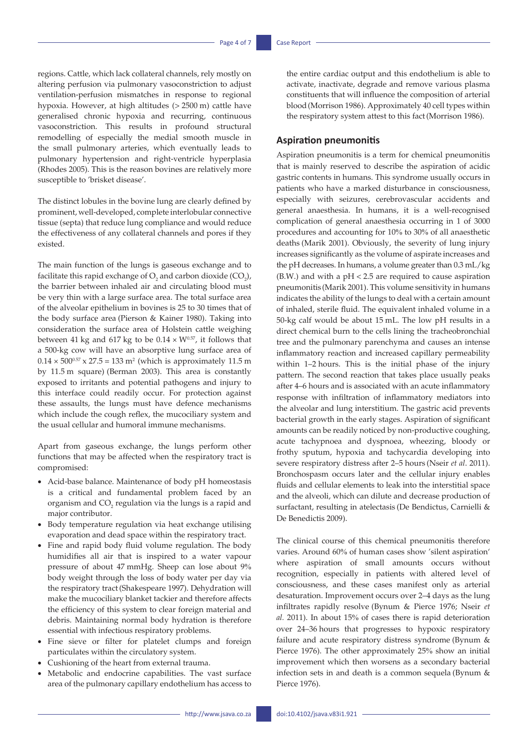regions. Cattle, which lack collateral channels, rely mostly on altering perfusion via pulmonary vasoconstriction to adjust ventilation-perfusion mismatches in response to regional hypoxia. However, at high altitudes (> 2500 m) cattle have generalised chronic hypoxia and recurring, continuous vasoconstriction. This results in profound structural remodelling of especially the medial smooth muscle in the small pulmonary arteries, which eventually leads to pulmonary hypertension and right-ventricle hyperplasia (Rhodes 2005). This is the reason bovines are relatively more susceptible to 'brisket disease'.

The distinct lobules in the bovine lung are clearly defined by prominent, well-developed, complete interlobular connective tissue (septa) that reduce lung compliance and would reduce the effectiveness of any collateral channels and pores if they existed.

The main function of the lungs is gaseous exchange and to facilitate this rapid exchange of  $O_2$  and carbon dioxide (CO<sub>2</sub>), the barrier between inhaled air and circulating blood must be very thin with a large surface area. The total surface area of the alveolar epithelium in bovines is 25 to 30 times that of the body surface area (Pierson & Kainer 1980). Taking into consideration the surface area of Holstein cattle weighing between 41 kg and 617 kg to be  $0.14 \times W^{0.57}$ , it follows that a 500-kg cow will have an absorptive lung surface area of  $0.14 \times 500^{0.57} \times 27.5 = 133 \text{ m}^2$  (which is approximately 11.5 m by 11.5 m square) (Berman 2003). This area is constantly exposed to irritants and potential pathogens and injury to this interface could readily occur. For protection against these assaults, the lungs must have defence mechanisms which include the cough reflex, the mucociliary system and the usual cellular and humoral immune mechanisms.

Apart from gaseous exchange, the lungs perform other functions that may be affected when the respiratory tract is compromised:

- • Acid-base balance. Maintenance of body pH homeostasis is a critical and fundamental problem faced by an organism and  $CO_2$  regulation via the lungs is a rapid and major contributor.
- • Body temperature regulation via heat exchange utilising evaporation and dead space within the respiratory tract.
- Fine and rapid body fluid volume regulation. The body humidifies all air that is inspired to a water vapour pressure of about 47 mmHg. Sheep can lose about 9% body weight through the loss of body water per day via the respiratory tract(Shakespeare 1997). Dehydration will make the mucociliary blanket tackier and therefore affects the efficiency of this system to clear foreign material and debris. Maintaining normal body hydration is therefore essential with infectious respiratory problems.
- • Fine sieve or filter for platelet clumps and foreign particulates within the circulatory system.
- Cushioning of the heart from external trauma.
- Metabolic and endocrine capabilities. The vast surface area of the pulmonary capillary endothelium has access to

the entire cardiac output and this endothelium is able to activate, inactivate, degrade and remove various plasma constituents that will influence the composition of arterial blood(Morrison 1986). Approximately 40 cell types within the respiratory system attest to this fact(Morrison 1986).

#### **Aspiration pneumonitis**

Aspiration pneumonitis is a term for chemical pneumonitis that is mainly reserved to describe the aspiration of acidic gastric contents in humans. This syndrome usually occurs in patients who have a marked disturbance in consciousness, especially with seizures, cerebrovascular accidents and general anaesthesia. In humans, it is a well-recognised complication of general anaesthesia occurring in 1 of 3000 procedures and accounting for 10% to 30% of all anaesthetic deaths (Marik 2001). Obviously, the severity of lung injury increases significantly as the volume of aspirate increases and the pH decreases. In humans, a volume greater than 0.3 mL/kg (B.W.) and with a pH < 2.5 are required to cause aspiration pneumonitis (Marik 2001). This volume sensitivity in humans indicates the ability of the lungs to deal with a certain amount of inhaled, sterile fluid. The equivalent inhaled volume in a 50-kg calf would be about 15 mL. The low pH results in a direct chemical burn to the cells lining the tracheobronchial tree and the pulmonary parenchyma and causes an intense inflammatory reaction and increased capillary permeability within 1–2 hours. This is the initial phase of the injury pattern. The second reaction that takes place usually peaks after 4–6 hours and is associated with an acute inflammatory response with infiltration of inflammatory mediators into the alveolar and lung interstitium. The gastric acid prevents bacterial growth in the early stages. Aspiration of significant amounts can be readily noticed by non-productive coughing, acute tachypnoea and dyspnoea, wheezing, bloody or frothy sputum, hypoxia and tachycardia developing into severe respiratory distress after 2–5 hours (Nseir *et al*. 2011). Bronchospasm occurs later and the cellular injury enables fluids and cellular elements to leak into the interstitial space and the alveoli, which can dilute and decrease production of surfactant, resulting in atelectasis (De Bendictus, Carnielli & De Benedictis 2009).

The clinical course of this chemical pneumonitis therefore varies. Around 60% of human cases show 'silent aspiration' where aspiration of small amounts occurs without recognition, especially in patients with altered level of consciousness, and these cases manifest only as arterial desaturation. Improvement occurs over 2–4 days as the lung infiltrates rapidly resolve (Bynum & Pierce 1976; Nseir *et al.* 2011). In about 15% of cases there is rapid deterioration over 24–36 hours that progresses to hypoxic respiratory failure and acute respiratory distress syndrome (Bynum & Pierce 1976). The other approximately 25% show an initial improvement which then worsens as a secondary bacterial infection sets in and death is a common sequela (Bynum & Pierce 1976).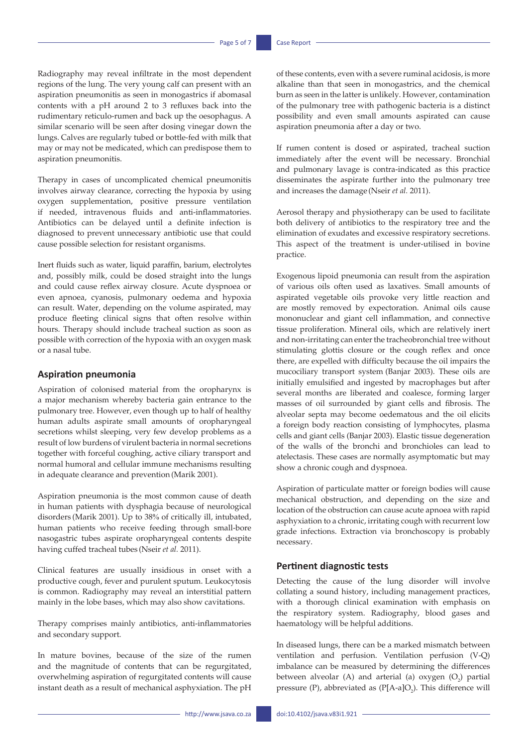Radiography may reveal infiltrate in the most dependent regions of the lung. The very young calf can present with an aspiration pneumonitis as seen in monogastrics if abomasal contents with a pH around 2 to 3 refluxes back into the rudimentary reticulo-rumen and back up the oesophagus. A similar scenario will be seen after dosing vinegar down the lungs. Calves are regularly tubed or bottle-fed with milk that may or may not be medicated, which can predispose them to aspiration pneumonitis.

Therapy in cases of uncomplicated chemical pneumonitis involves airway clearance, correcting the hypoxia by using oxygen supplementation, positive pressure ventilation if needed, intravenous fluids and anti-inflammatories. Antibiotics can be delayed until a definite infection is diagnosed to prevent unnecessary antibiotic use that could cause possible selection for resistant organisms.

Inert fluids such as water, liquid paraffin, barium, electrolytes and, possibly milk, could be dosed straight into the lungs and could cause reflex airway closure. Acute dyspnoea or even apnoea, cyanosis, pulmonary oedema and hypoxia can result. Water, depending on the volume aspirated, may produce fleeting clinical signs that often resolve within hours. Therapy should include tracheal suction as soon as possible with correction of the hypoxia with an oxygen mask or a nasal tube.

#### **Aspiration pneumonia**

Aspiration of colonised material from the oropharynx is a major mechanism whereby bacteria gain entrance to the pulmonary tree. However, even though up to half of healthy human adults aspirate small amounts of oropharyngeal secretions whilst sleeping, very few develop problems as a result of low burdens of virulent bacteria in normal secretions together with forceful coughing, active ciliary transport and normal humoral and cellular immune mechanisms resulting in adequate clearance and prevention (Marik 2001).

Aspiration pneumonia is the most common cause of death in human patients with dysphagia because of neurological disorders (Marik 2001). Up to 38% of critically ill, intubated, human patients who receive feeding through small-bore nasogastric tubes aspirate oropharyngeal contents despite having cuffed tracheal tubes (Nseir *et al.* 2011).

Clinical features are usually insidious in onset with a productive cough, fever and purulent sputum. Leukocytosis is common. Radiography may reveal an interstitial pattern mainly in the lobe bases, which may also show cavitations.

Therapy comprises mainly antibiotics, anti-inflammatories and secondary support.

In mature bovines, because of the size of the rumen and the magnitude of contents that can be regurgitated, overwhelming aspiration of regurgitated contents will cause instant death as a result of mechanical asphyxiation. The pH of these contents, even with a severe ruminal acidosis, is more alkaline than that seen in monogastrics, and the chemical burn as seen in the latter is unlikely. However, contamination of the pulmonary tree with pathogenic bacteria is a distinct possibility and even small amounts aspirated can cause aspiration pneumonia after a day or two.

If rumen content is dosed or aspirated, tracheal suction immediately after the event will be necessary. Bronchial and pulmonary lavage is contra-indicated as this practice disseminates the aspirate further into the pulmonary tree and increases the damage (Nseir *et al.* 2011).

Aerosol therapy and physiotherapy can be used to facilitate both delivery of antibiotics to the respiratory tree and the elimination of exudates and excessive respiratory secretions. This aspect of the treatment is under-utilised in bovine practice.

Exogenous lipoid pneumonia can result from the aspiration of various oils often used as laxatives. Small amounts of aspirated vegetable oils provoke very little reaction and are mostly removed by expectoration. Animal oils cause mononuclear and giant cell inflammation, and connective tissue proliferation. Mineral oils, which are relatively inert and non-irritating can enter the tracheobronchial tree without stimulating glottis closure or the cough reflex and once there, are expelled with difficulty because the oil impairs the mucociliary transport system (Banjar 2003). These oils are initially emulsified and ingested by macrophages but after several months are liberated and coalesce, forming larger masses of oil surrounded by giant cells and fibrosis. The alveolar septa may become oedematous and the oil elicits a foreign body reaction consisting of lymphocytes, plasma cells and giant cells (Banjar 2003). Elastic tissue degeneration of the walls of the bronchi and bronchioles can lead to atelectasis. These cases are normally asymptomatic but may show a chronic cough and dyspnoea.

Aspiration of particulate matter or foreign bodies will cause mechanical obstruction, and depending on the size and location of the obstruction can cause acute apnoea with rapid asphyxiation to a chronic, irritating cough with recurrent low grade infections. Extraction via bronchoscopy is probably necessary.

#### **Pertinent diagnostic tests**

Detecting the cause of the lung disorder will involve collating a sound history, including management practices, with a thorough clinical examination with emphasis on the respiratory system. Radiography, blood gases and haematology will be helpful additions.

In diseased lungs, there can be a marked mismatch between ventilation and perfusion. Ventilation perfusion (V-Q) imbalance can be measured by determining the differences between alveolar (A) and arterial (a) oxygen  $(O_2)$  partial pressure (P), abbreviated as  $(P[A-a]O_2)$ . This difference will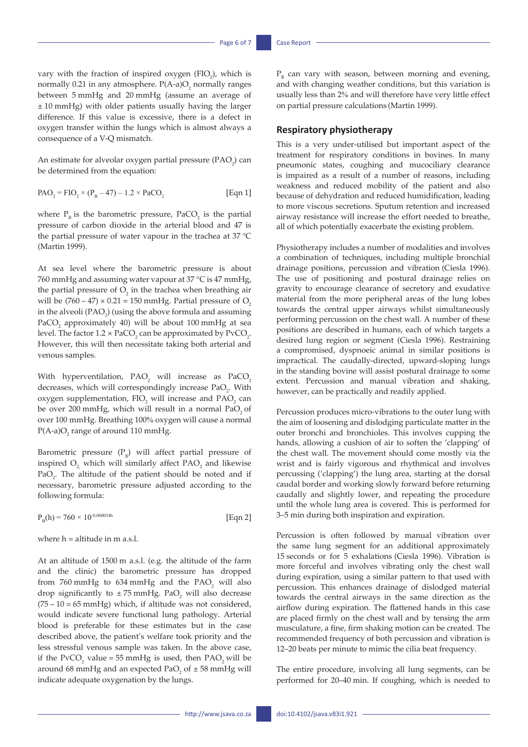vary with the fraction of inspired oxygen  $(FIO_2)$ , which is normally 0.21 in any atmosphere.  $P(A-a)O_2$  normally ranges between 5 mmHg and 20 mmHg (assume an average of  $\pm$  10 mmHg) with older patients usually having the larger difference. If this value is excessive, there is a defect in oxygen transfer within the lungs which is almost always a consequence of a V-Q mismatch.

An estimate for alveolar oxygen partial pressure  $(\text{PAO}_2)$  can be determined from the equation:

$$
PAO2 = FIO2 × (PB - 47) – 1.2 × PaCO2
$$
 [Eqn 1]

where  $P_B$  is the barometric pressure, PaCO<sub>2</sub> is the partial pressure of carbon dioxide in the arterial blood and 47 is the partial pressure of water vapour in the trachea at 37 °C (Martin 1999).

At sea level where the barometric pressure is about 760 mmHg and assuming water vapour at 37 °C is 47 mmHg, the partial pressure of  $O_2$  in the trachea when breathing air will be  $(760 - 47) \times 0.21 = 150$  mmHg. Partial pressure of O<sub>2</sub> in the alveoli ( $\text{PAO}_2$ ) (using the above formula and assuming PaCO $_2$  approximately 40) will be about 100 mmHg at sea level. The factor 1.2  $\times$  PaCO<sub>2</sub> can be approximated by PvCO<sub>2</sub>. However, this will then necessitate taking both arterial and venous samples.

With hyperventilation,  $PAO_2$  will increase as  $PaCO_2$ decreases, which will correspondingly increase PaO<sub>2</sub>. With oxygen supplementation,  $FIO<sub>2</sub>$  will increase and  $PAO<sub>2</sub>$  can be over 200 mmHg, which will result in a normal PaO<sub>2</sub> of over 100 mmHg. Breathing 100% oxygen will cause a normal P(A-a)O<sub>2</sub> range of around 110 mmHg.

Barometric pressure  $(P_B)$  will affect partial pressure of inspired  $O_2$ , which will similarly affect PAO<sub>2</sub> and likewise  $PaO<sub>2</sub>$ . The altitude of the patient should be noted and if necessary, barometric pressure adjusted according to the following formula:

 $P_p(h) = 760 \times 10^{-0,000054h}$  [Eqn 2]

where  $h =$  altitude in  $m$  a.s.l.

At an altitude of 1500 m a.s.l. (e.g. the altitude of the farm and the clinic) the barometric pressure has dropped from  $760 \text{ mmHg}$  to  $634 \text{ mmHg}$  and the  $PAO<sub>2</sub>$  will also drop significantly to  $\pm 75$  mmHg. PaO<sub>2</sub> will also decrease  $(75 - 10 = 65$  mmHg) which, if altitude was not considered, would indicate severe functional lung pathology. Arterial blood is preferable for these estimates but in the case described above, the patient's welfare took priority and the less stressful venous sample was taken. In the above case, if the  $PvCO_2$  value = 55 mmHg is used, then  $PAO_2$  will be around 68 mmHg and an expected PaO<sub>2</sub> of  $\pm$  58 mmHg will indicate adequate oxygenation by the lungs.

 $P_{B}$  can vary with season, between morning and evening, and with changing weather conditions, but this variation is usually less than 2% and will therefore have very little effect on partial pressure calculations (Martin 1999).

### **Respiratory physiotherapy**

This is a very under-utilised but important aspect of the treatment for respiratory conditions in bovines. In many pneumonic states, coughing and mucociliary clearance is impaired as a result of a number of reasons, including weakness and reduced mobility of the patient and also because of dehydration and reduced humidification, leading to more viscous secretions. Sputum retention and increased airway resistance will increase the effort needed to breathe, all of which potentially exacerbate the existing problem.

Physiotherapy includes a number of modalities and involves a combination of techniques, including multiple bronchial drainage positions, percussion and vibration (Ciesla 1996). The use of positioning and postural drainage relies on gravity to encourage clearance of secretory and exudative material from the more peripheral areas of the lung lobes towards the central upper airways whilst simultaneously performing percussion on the chest wall. A number of these positions are described in humans, each of which targets a desired lung region or segment (Ciesla 1996). Restraining a compromised, dyspnoeic animal in similar positions is impractical. The caudally-directed, upward-sloping lungs in the standing bovine will assist postural drainage to some extent. Percussion and manual vibration and shaking, however, can be practically and readily applied.

Percussion produces micro-vibrations to the outer lung with the aim of loosening and dislodging particulate matter in the outer bronchi and bronchioles. This involves cupping the hands, allowing a cushion of air to soften the 'clapping' of the chest wall. The movement should come mostly via the wrist and is fairly vigorous and rhythmical and involves percussing ('clapping') the lung area, starting at the dorsal caudal border and working slowly forward before returning caudally and slightly lower, and repeating the procedure until the whole lung area is covered. This is performed for 3–5 min during both inspiration and expiration.

Percussion is often followed by manual vibration over the same lung segment for an additional approximately 15 seconds or for 5 exhalations (Ciesla 1996). Vibration is more forceful and involves vibrating only the chest wall during expiration, using a similar pattern to that used with percussion. This enhances drainage of dislodged material towards the central airways in the same direction as the airflow during expiration. The flattened hands in this case are placed firmly on the chest wall and by tensing the arm musculature, a fine, firm shaking motion can be created. The recommended frequency of both percussion and vibration is 12–20 beats per minute to mimic the cilia beat frequency.

The entire procedure, involving all lung segments, can be performed for 20–40 min. If coughing, which is needed to